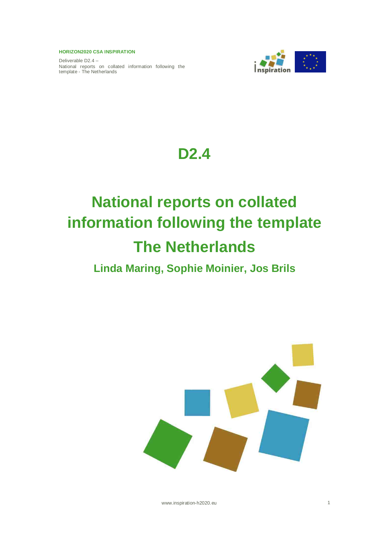Deliverable D2.4 – National reports on collated information following the template - The Netherlands



# **D2.4**

# **National reports on collated information following the template The Netherlands**

## **Linda Maring, Sophie Moinier, Jos Brils**



www.inspiration-h2020.eu 1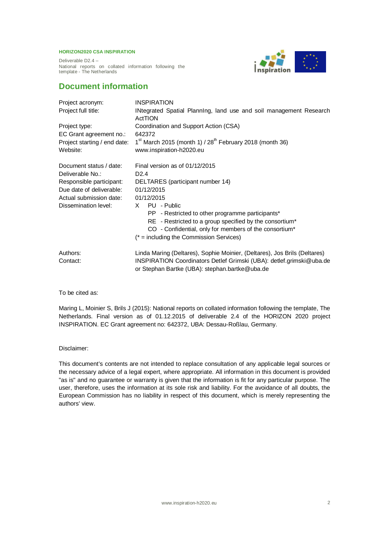Deliverable D2.4 – National reports on collated information following the template - The Netherlands



## **Document information**

| Project acronym:                                                                                     | <b>INSPIRATION</b>                                                                                                                                |  |  |  |  |  |  |
|------------------------------------------------------------------------------------------------------|---------------------------------------------------------------------------------------------------------------------------------------------------|--|--|--|--|--|--|
| INtegrated Spatial Planning, land use and soil management Research<br>Project full title:<br>ActTION |                                                                                                                                                   |  |  |  |  |  |  |
| Coordination and Support Action (CSA)<br>Project type:                                               |                                                                                                                                                   |  |  |  |  |  |  |
| EC Grant agreement no.:                                                                              | 642372                                                                                                                                            |  |  |  |  |  |  |
| Project starting / end date:                                                                         | $1st$ March 2015 (month 1) / $28th$ February 2018 (month 36)                                                                                      |  |  |  |  |  |  |
| Website:                                                                                             | www.inspiration-h2020.eu                                                                                                                          |  |  |  |  |  |  |
| Document status / date:                                                                              | Final version as of 01/12/2015                                                                                                                    |  |  |  |  |  |  |
| Deliverable No.:                                                                                     | D <sub>2.4</sub>                                                                                                                                  |  |  |  |  |  |  |
| Responsible participant:                                                                             | DELTARES (participant number 14)                                                                                                                  |  |  |  |  |  |  |
| Due date of deliverable:                                                                             | 01/12/2015                                                                                                                                        |  |  |  |  |  |  |
| Actual submission date:                                                                              | 01/12/2015                                                                                                                                        |  |  |  |  |  |  |
| Dissemination level:                                                                                 | X PU - Public                                                                                                                                     |  |  |  |  |  |  |
|                                                                                                      | PP - Restricted to other programme participants*                                                                                                  |  |  |  |  |  |  |
|                                                                                                      | RE - Restricted to a group specified by the consortium*                                                                                           |  |  |  |  |  |  |
|                                                                                                      | CO - Confidential, only for members of the consortium*                                                                                            |  |  |  |  |  |  |
|                                                                                                      | $(*)$ = including the Commission Services)                                                                                                        |  |  |  |  |  |  |
| Authors:<br>Contact:                                                                                 | Linda Maring (Deltares), Sophie Moinier, (Deltares), Jos Brils (Deltares)<br>INSPIRATION Coordinators Detlef Grimski (UBA): detlef.grimski@uba.de |  |  |  |  |  |  |
|                                                                                                      | or Stephan Bartke (UBA): stephan.bartke@uba.de                                                                                                    |  |  |  |  |  |  |

To be cited as:

Maring L, Moinier S, Brils J (2015): National reports on collated information following the template, The Netherlands. Final version as of 01.12.2015 of deliverable 2.4 of the HORIZON 2020 project INSPIRATION. EC Grant agreement no: 642372, UBA: Dessau-Roßlau, Germany.

Disclaimer:

This document's contents are not intended to replace consultation of any applicable legal sources or the necessary advice of a legal expert, where appropriate. All information in this document is provided "as is" and no guarantee or warranty is given that the information is fit for any particular purpose. The user, therefore, uses the information at its sole risk and liability. For the avoidance of all doubts, the European Commission has no liability in respect of this document, which is merely representing the authors' view.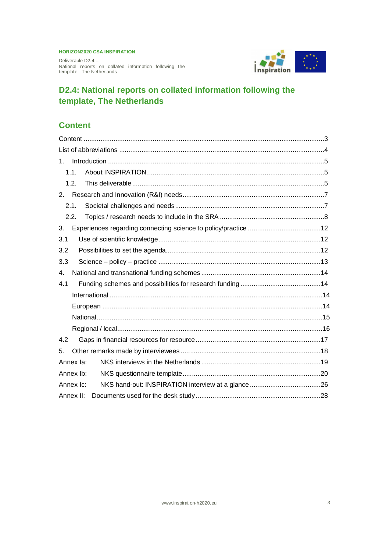Deliverable D2.4 – National reports on collated information following the template - The Netherlands



## **D2.4: National reports on collated information following the template, The Netherlands**

## **Content**

| $1_{-}$   |  |
|-----------|--|
| 1.1.      |  |
| 1.2.      |  |
| 2.        |  |
| 2.1.      |  |
| 2.2.      |  |
| 3.        |  |
| 3.1       |  |
| 3.2       |  |
| 3.3       |  |
| 4.        |  |
| 4.1       |  |
|           |  |
|           |  |
|           |  |
|           |  |
| 4.2       |  |
| 5.        |  |
| Annex la: |  |
| Annex Ib: |  |
| Annex Ic: |  |
| Annex II: |  |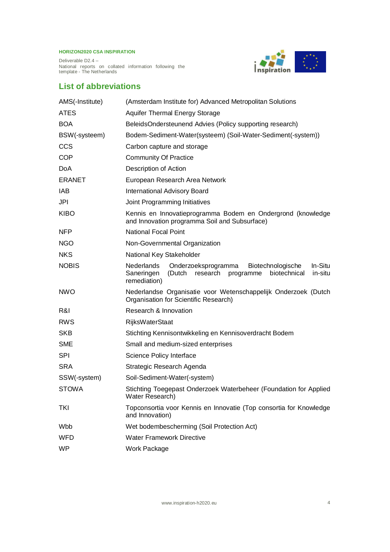Deliverable D2.4 – National reports on collated information following the template - The Netherlands



## **List of abbreviations**

| AMS(-Institute) | (Amsterdam Institute for) Advanced Metropolitan Solutions                                                                                                            |  |  |  |  |  |
|-----------------|----------------------------------------------------------------------------------------------------------------------------------------------------------------------|--|--|--|--|--|
| <b>ATES</b>     | <b>Aquifer Thermal Energy Storage</b>                                                                                                                                |  |  |  |  |  |
| <b>BOA</b>      | BeleidsOndersteunend Advies (Policy supporting research)                                                                                                             |  |  |  |  |  |
| BSW(-systeem)   | Bodem-Sediment-Water(systeem) (Soil-Water-Sediment(-system))                                                                                                         |  |  |  |  |  |
| <b>CCS</b>      | Carbon capture and storage                                                                                                                                           |  |  |  |  |  |
| <b>COP</b>      | <b>Community Of Practice</b>                                                                                                                                         |  |  |  |  |  |
| <b>DoA</b>      | Description of Action                                                                                                                                                |  |  |  |  |  |
| <b>ERANET</b>   | European Research Area Network                                                                                                                                       |  |  |  |  |  |
| <b>IAB</b>      | <b>International Advisory Board</b>                                                                                                                                  |  |  |  |  |  |
| JPI             | Joint Programming Initiatives                                                                                                                                        |  |  |  |  |  |
| <b>KIBO</b>     | Kennis en Innovatieprogramma Bodem en Ondergrond (knowledge<br>and Innovation programma Soil and Subsurface)                                                         |  |  |  |  |  |
| <b>NFP</b>      | National Focal Point                                                                                                                                                 |  |  |  |  |  |
| <b>NGO</b>      | Non-Governmental Organization                                                                                                                                        |  |  |  |  |  |
| <b>NKS</b>      | National Key Stakeholder                                                                                                                                             |  |  |  |  |  |
| <b>NOBIS</b>    | <b>Nederlands</b><br>Onderzoeksprogramma<br>Biotechnologische<br>In-Situ<br>(Dutch<br>biotechnical<br>in-situ<br>Saneringen<br>research<br>programme<br>remediation) |  |  |  |  |  |
| <b>NWO</b>      | Nederlandse Organisatie voor Wetenschappelijk Onderzoek (Dutch<br>Organisation for Scientific Research)                                                              |  |  |  |  |  |
| R&I             | Research & Innovation                                                                                                                                                |  |  |  |  |  |
| <b>RWS</b>      | <b>RijksWaterStaat</b>                                                                                                                                               |  |  |  |  |  |
| <b>SKB</b>      | Stichting Kennisontwikkeling en Kennisoverdracht Bodem                                                                                                               |  |  |  |  |  |
| <b>SME</b>      | Small and medium-sized enterprises                                                                                                                                   |  |  |  |  |  |
| <b>SPI</b>      | Science Policy Interface                                                                                                                                             |  |  |  |  |  |
| <b>SRA</b>      | Strategic Research Agenda                                                                                                                                            |  |  |  |  |  |
| SSW(-system)    | Soil-Sediment-Water(-system)                                                                                                                                         |  |  |  |  |  |
| <b>STOWA</b>    | Stichting Toegepast Onderzoek Waterbeheer (Foundation for Applied<br>Water Research)                                                                                 |  |  |  |  |  |
| <b>TKI</b>      | Topconsortia voor Kennis en Innovatie (Top consortia for Knowledge<br>and Innovation)                                                                                |  |  |  |  |  |
| Wbb             | Wet bodembescherming (Soil Protection Act)                                                                                                                           |  |  |  |  |  |
| WFD             | <b>Water Framework Directive</b>                                                                                                                                     |  |  |  |  |  |
| <b>WP</b>       | Work Package                                                                                                                                                         |  |  |  |  |  |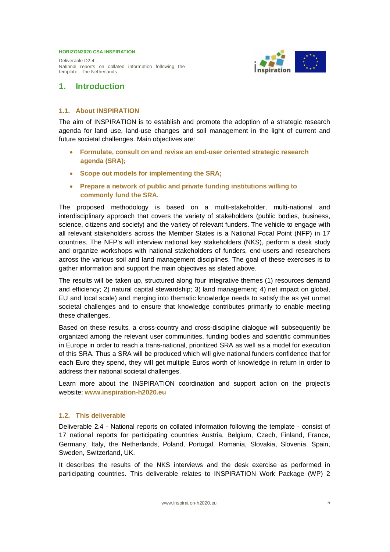Deliverable D2.4 – National reports on collated information following the template - The Netherlands



## **1. Introduction**

#### **1.1. About INSPIRATION**

The aim of INSPIRATION is to establish and promote the adoption of a strategic research agenda for land use, land-use changes and soil management in the light of current and future societal challenges. Main objectives are:

- x **Formulate, consult on and revise an end-user oriented strategic research agenda (SRA);**
- x **Scope out models for implementing the SRA;**
- x **Prepare a network of public and private funding institutions willing to commonly fund the SRA.**

The proposed methodology is based on a multi-stakeholder, multi-national and interdisciplinary approach that covers the variety of stakeholders (public bodies, business, science, citizens and society) and the variety of relevant funders. The vehicle to engage with all relevant stakeholders across the Member States is a National Focal Point (NFP) in 17 countries. The NFP's will interview national key stakeholders (NKS), perform a desk study and organize workshops with national stakeholders of funders, end-users and researchers across the various soil and land management disciplines. The goal of these exercises is to gather information and support the main objectives as stated above.

The results will be taken up, structured along four integrative themes (1) resources demand and efficiency; 2) natural capital stewardship; 3) land management; 4) net impact on global, EU and local scale) and merging into thematic knowledge needs to satisfy the as yet unmet societal challenges and to ensure that knowledge contributes primarily to enable meeting these challenges.

Based on these results, a cross-country and cross-discipline dialogue will subsequently be organized among the relevant user communities, funding bodies and scientific communities in Europe in order to reach a trans-national, prioritized SRA as well as a model for execution of this SRA. Thus a SRA will be produced which will give national funders confidence that for each Euro they spend, they will get multiple Euros worth of knowledge in return in order to address their national societal challenges.

Learn more about the INSPIRATION coordination and support action on the project's website: **www.inspiration-h2020.eu**

#### **1.2. This deliverable**

Deliverable 2.4 - National reports on collated information following the template - consist of 17 national reports for participating countries Austria, Belgium, Czech, Finland, France, Germany, Italy, the Netherlands, Poland, Portugal, Romania, Slovakia, Slovenia, Spain, Sweden, Switzerland, UK.

It describes the results of the NKS interviews and the desk exercise as performed in participating countries. This deliverable relates to INSPIRATION Work Package (WP) 2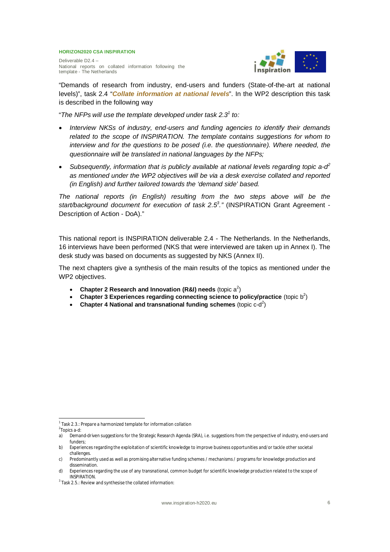Deliverable D2.4 – National reports on collated information following the template - The Netherlands



"Demands of research from industry, end-users and funders (State-of-the-art at national levels)", task 2.4 "*Collate information at national levels*". In the WP2 description this task is described in the following way

"*The NFPs will use the template developed under task 2.3<sup>1</sup> to:*

- x *Interview NKSs of industry, end-users and funding agencies to identify their demands related to the scope of INSPIRATION. The template contains suggestions for whom to interview and for the questions to be posed (i.e. the questionnaire). Where needed, the questionnaire will be translated in national languages by the NFPs;*
- **•** Subsequently, information that is publicly available at national levels regarding topic a-d<sup>2</sup> *as mentioned under the WP2 objectives will be via a desk exercise collated and reported (in English) and further tailored towards the 'demand side' based.*

*The national reports (in English) resulting from the two steps above will be the start/background document for execution of task 2.5<sup>3</sup> ."* (INSPIRATION Grant Agreement - Description of Action - DoA)."

This national report is INSPIRATION deliverable 2.4 - The Netherlands. In the Netherlands, 16 interviews have been performed (NKS that were interviewed are taken up in Annex I). The desk study was based on documents as suggested by NKS (Annex II).

The next chapters give a synthesis of the main results of the topics as mentioned under the WP2 objectives.

- Chapter 2 Research and Innovation (R&I) needs (topic  $a^2$ )
- **Chapter 3 Experiences regarding connecting science to policy/practice** (topic  $b^2$ )
- Chapter 4 National and transnational funding schemes (topic  $c-d^2$ )

<sup>&</sup>lt;sup>1</sup> Task 2.3.: Prepare a harmonized template for information collation

<sup>&</sup>lt;sup>2</sup>Topics a-d:

a) Demand-driven suggestions for the Strategic Research Agenda (SRA), i.e. suggestions from the perspective of industry, end-users and funders;

b) Experiences regarding the exploitation of scientific knowledge to improve business opportunities and/or tackle other societal challenges.

c) Predominantly used as well as promising alternative funding schemes / mechanisms / programs for knowledge production and dissemination.

d) Experiences regarding the use of any transnational, common budget for scientific knowledge production related to the scope of INSPIRATION.

 $^3$  Task 2.5.: Review and synthesise the collated information: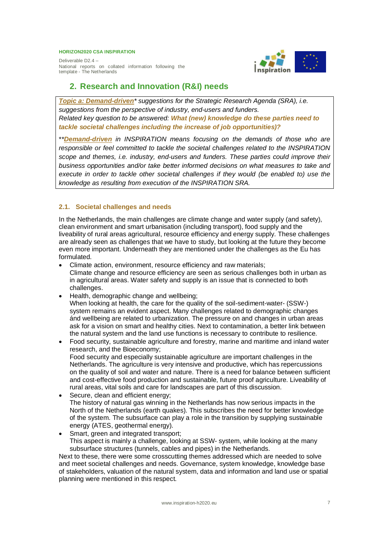Deliverable D2.4 – National reports on collated information following the template - The Netherlands



## **2. Research and Innovation (R&I) needs**

*Topic a: Demand-driven\* suggestions for the Strategic Research Agenda (SRA), i.e. suggestions from the perspective of industry, end-users and funders. Related key question to be answered: What (new) knowledge do these parties need to tackle societal challenges including the increase of job opportunities)?*

\**\*Demand-driven in INSPIRATION means focusing on the demands of those who are responsible or feel committed to tackle the societal challenges related to the INSPIRATION scope and themes, i.e. industry, end-users and funders. These parties could improve their business opportunities and/or take better informed decisions on what measures to take and execute in order to tackle other societal challenges if they would (be enabled to) use the knowledge as resulting from execution of the INSPIRATION SRA.*

#### **2.1. Societal challenges and needs**

In the Netherlands, the main challenges are climate change and water supply (and safety), clean environment and smart urbanisation (including transport), food supply and the liveability of rural areas agricultural, resource efficiency and energy supply. These challenges are already seen as challenges that we have to study, but looking at the future they become even more important. Underneath they are mentioned under the challenges as the Eu has formulated.

- Climate action, environment, resource efficiency and raw materials; Climate change and resource efficiency are seen as serious challenges both in urban as in agricultural areas. Water safety and supply is an issue that is connected to both challenges.
- Health, demographic change and wellbeing;

When looking at health, the care for the quality of the soil-sediment-water- (SSW-) system remains an evident aspect. Many challenges related to demographic changes ánd wellbeing are related to urbanization. The pressure on and changes in urban areas ask for a vision on smart and healthy cities. Next to contamination, a better link between the natural system and the land use functions is necessary to contribute to resilience.

- Food security, sustainable agriculture and forestry, marine and maritime and inland water research, and the Bioeconomy; Food security and especially sustainable agriculture are important challenges in the Netherlands. The agriculture is very intensive and productive, which has repercussions on the quality of soil and water and nature. There is a need for balance between sufficient and cost-effective food production and sustainable, future proof agriculture. Liveability of rural areas, vital soils and care for landscapes are part of this discussion.
- Secure, clean and efficient energy; The history of natural gas winning in the Netherlands has now serious impacts in the North of the Netherlands (earth quakes). This subscribes the need for better knowledge of the system. The subsurface can play a role in the transition by supplying sustainable energy (ATES, geothermal energy).
- Smart, green and integrated transport; This aspect is mainly a challenge, looking at SSW- system, while looking at the many subsurface structures (tunnels, cables and pipes) in the Netherlands.

Next to these, there were some crosscutting themes addressed which are needed to solve and meet societal challenges and needs. Governance, system knowledge, knowledge base of stakeholders, valuation of the natural system, data and information and land use or spatial planning were mentioned in this respect.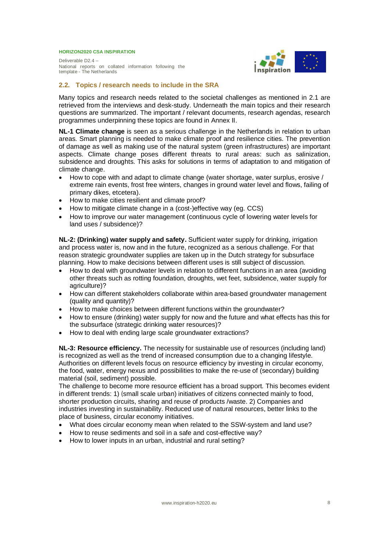Deliverable D2.4 – National reports on collated information following the template - The Netherlands



#### **2.2. Topics / research needs to include in the SRA**

Many topics and research needs related to the societal challenges as mentioned in 2.1 are retrieved from the interviews and desk-study. Underneath the main topics and their research questions are summarized. The important / relevant documents, research agendas, research programmes underpinning these topics are found in Annex II.

**NL-1 Climate change** is seen as a serious challenge in the Netherlands in relation to urban areas. Smart planning is needed to make climate proof and resilience cities. The prevention of damage as well as making use of the natural system (green infrastructures) are important aspects. Climate change poses different threats to rural areas: such as salinization, subsidence and droughts. This asks for solutions in terms of adaptation to and mitigation of climate change.

- How to cope with and adapt to climate change (water shortage, water surplus, erosive / extreme rain events, frost free winters, changes in ground water level and flows, failing of primary dikes, etcetera).
- How to make cities resilient and climate proof?
- $\bullet$  How to mitigate climate change in a (cost-)effective way (eg. CCS)
- How to improve our water management (continuous cycle of lowering water levels for land uses / subsidence)?

**NL-2: (Drinking) water supply and safety.** Sufficient water supply for drinking, irrigation and process water is, now and in the future, recognized as a serious challenge. For that reason strategic groundwater supplies are taken up in the Dutch strategy for subsurface planning. How to make decisions between different uses is still subject of discussion.

- How to deal with groundwater levels in relation to different functions in an area (avoiding other threats such as rotting foundation, droughts, wet feet, subsidence, water supply for agriculture)?
- How can different stakeholders collaborate within area-based groundwater management (quality and quantity)?
- How to make choices between different functions within the groundwater?
- How to ensure (drinking) water supply for now and the future and what effects has this for the subsurface (strategic drinking water resources)?
- How to deal with ending large scale groundwater extractions?

**NL-3: Resource efficiency.** The necessity for sustainable use of resources (including land) is recognized as well as the trend of increased consumption due to a changing lifestyle. Authorities on different levels focus on resource efficiency by investing in circular economy, the food, water, energy nexus and possibilities to make the re-use of (secondary) building material (soil, sediment) possible.

The challenge to become more resource efficient has a broad support. This becomes evident in different trends: 1) (small scale urban) initiatives of citizens connected mainly to food, shorter production circuits, sharing and reuse of products /waste. 2) Companies and industries investing in sustainability. Reduced use of natural resources, better links to the place of business, circular economy initiatives.

- x What does circular economy mean when related to the SSW-system and land use?
- How to reuse sediments and soil in a safe and cost-effective way?
- How to lower inputs in an urban, industrial and rural setting?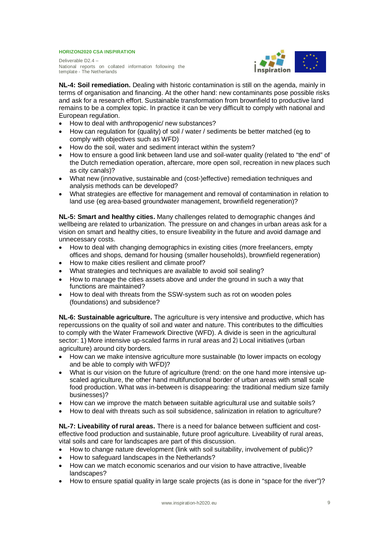Deliverable D2.4 – National reports on collated information following the template - The Netherlands



**NL-4: Soil remediation.** Dealing with historic contamination is still on the agenda, mainly in terms of organisation and financing. At the other hand: new contaminants pose possible risks and ask for a research effort. Sustainable transformation from brownfield to productive land remains to be a complex topic. In practice it can be very difficult to comply with national and European regulation.

- How to deal with anthropogenic/ new substances?
- How can regulation for (quality) of soil / water / sediments be better matched (eg to comply with objectives such as WFD)
- How do the soil, water and sediment interact within the system?
- How to ensure a good link between land use and soil-water quality (related to "the end" of the Dutch remediation operation, aftercare, more open soil, recreation in new places such as city canals)?
- What new (innovative, sustainable and (cost-)effective) remediation techniques and analysis methods can be developed?
- x What strategies are effective for management and removal of contamination in relation to land use (eg area-based groundwater management, brownfield regeneration)?

**NL-5: Smart and healthy cities.** Many challenges related to demographic changes ánd wellbeing are related to urbanization. The pressure on and changes in urban areas ask for a vision on smart and healthy cities, to ensure liveability in the future and avoid damage and unnecessary costs.

- How to deal with changing demographics in existing cities (more freelancers, empty offices and shops, demand for housing (smaller households), brownfield regeneration)
- How to make cities resilient and climate proof?
- What strategies and techniques are available to avoid soil sealing?
- How to manage the cities assets above and under the ground in such a way that functions are maintained?
- How to deal with threats from the SSW-system such as rot on wooden poles (foundations) and subsidence?

**NL-6: Sustainable agriculture.** The agriculture is very intensive and productive, which has repercussions on the quality of soil and water and nature. This contributes to the difficulties to comply with the Water Framework Directive (WFD). A divide is seen in the agricultural sector: 1) More intensive up-scaled farms in rural areas and 2) Local initiatives (urban agriculture) around city borders.

- How can we make intensive agriculture more sustainable (to lower impacts on ecology and be able to comply with WFD)?
- What is our vision on the future of agriculture (trend: on the one hand more intensive upscaled agriculture, the other hand multifunctional border of urban areas with small scale food production. What was in-between is disappearing: the traditional medium size family businesses)?
- How can we improve the match between suitable agricultural use and suitable soils?
- How to deal with threats such as soil subsidence, salinization in relation to agriculture?

**NL-7: Liveability of rural areas.** There is a need for balance between sufficient and costeffective food production and sustainable, future proof agriculture. Liveability of rural areas, vital soils and care for landscapes are part of this discussion.

- How to change nature development (link with soil suitability, involvement of public)?
- How to safeguard landscapes in the Netherlands?
- How can we match economic scenarios and our vision to have attractive, liveable landscapes?
- How to ensure spatial quality in large scale projects (as is done in "space for the river")?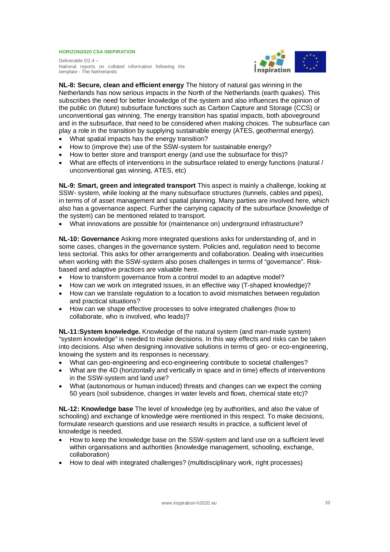Deliverable D2.4 – National reports on collated information following the template - The Netherlands



**NL-8: Secure, clean and efficient energy** The history of natural gas winning in the Netherlands has now serious impacts in the North of the Netherlands (earth quakes). This subscribes the need for better knowledge of the system and also influences the opinion of the public on (future) subsurface functions such as Carbon Capture and Storage (CCS) or unconventional gas winning. The energy transition has spatial impacts, both aboveground and in the subsurface, that need to be considered when making choices. The subsurface can play a role in the transition by supplying sustainable energy (ATES, geothermal energy).

- What spatial impacts has the energy transition?
- How to (improve the) use of the SSW-system for sustainable energy?
- How to better store and transport energy (and use the subsurface for this)?
- What are effects of interventions in the subsurface related to energy functions (natural / unconventional gas winning, ATES, etc)

**NL-9: Smart, green and integrated transport** This aspect is mainly a challenge, looking at SSW- system, while looking at the many subsurface structures (tunnels, cables and pipes), in terms of of asset management and spatial planning. Many parties are involved here, which also has a governance aspect. Further the carrying capacity of the subsurface (knowledge of the system) can be mentioned related to transport.

• What innovations are possible for (maintenance on) underground infrastructure?

**NL-10: Governance** Asking more integrated questions asks for understanding of, and in some cases, changes in the governance system. Policies and, regulation need to become less sectorial. This asks for other arrangements and collaboration. Dealing with insecurities when working with the SSW-system also poses challenges in terms of "governance". Riskbased and adaptive practices are valuable here.

- How to transform governance from a control model to an adaptive model?
- How can we work on integrated issues, in an effective way (T-shaped knowledge)?
- How can we translate regulation to a location to avoid mismatches between regulation and practical situations?
- x How can we shape effective processes to solve integrated challenges (how to collaborate, who is involved, who leads)?

**NL-11:System knowledge.** Knowledge of the natural system (and man-made system) "system knowledge" is needed to make decisions. In this way effects and risks can be taken into decisions. Also when designing innovative solutions in terms of geo- or eco-engineering, knowing the system and its responses is necessary.

- x What can geo-engineering and eco-engineering contribute to societal challenges?
- What are the 4D (horizontally and vertically in space and in time) effects of interventions in the SSW-system and land use?
- x What (autonomous or human induced) threats and changes can we expect the coming 50 years (soil subsidence, changes in water levels and flows, chemical state etc)?

**NL-12: Knowledge base** The level of knowledge (eg by authorities, and also the value of schooling) and exchange of knowledge were mentioned in this respect. To make decisions, formulate research questions and use research results in practice, a sufficient level of knowledge is needed.

- How to keep the knowledge base on the SSW-system and land use on a sufficient level within organisations and authorities (knowledge management, schooling, exchange, collaboration)
- How to deal with integrated challenges? (multidisciplinary work, right processes)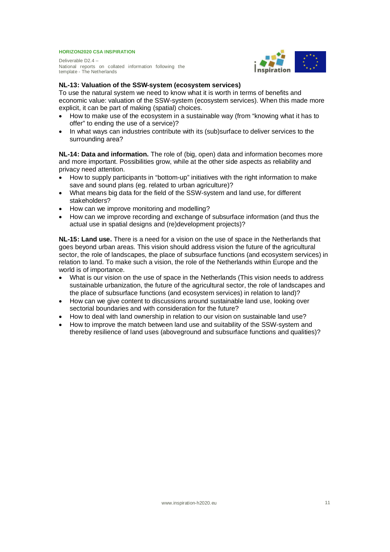Deliverable D2.4 – National reports on collated information following the template - The Netherlands



#### **NL-13: Valuation of the SSW-system (ecosystem services)**

To use the natural system we need to know what it is worth in terms of benefits and economic value: valuation of the SSW-system (ecosystem services). When this made more explicit, it can be part of making (spatial) choices.

- How to make use of the ecosystem in a sustainable way (from "knowing what it has to offer" to ending the use of a service)?
- In what ways can industries contribute with its (sub)surface to deliver services to the surrounding area?

**NL-14: Data and information.** The role of (big, open) data and information becomes more and more important. Possibilities grow, while at the other side aspects as reliability and privacy need attention.

- How to supply participants in "bottom-up" initiatives with the right information to make save and sound plans (eg. related to urban agriculture)?
- x What means big data for the field of the SSW-system and land use, for different stakeholders?
- How can we improve monitoring and modelling?
- How can we improve recording and exchange of subsurface information (and thus the actual use in spatial designs and (re)development projects)?

**NL-15: Land use.** There is a need for a vision on the use of space in the Netherlands that goes beyond urban areas. This vision should address vision the future of the agricultural sector, the role of landscapes, the place of subsurface functions (and ecosystem services) in relation to land. To make such a vision, the role of the Netherlands within Europe and the world is of importance.

- x What is our vision on the use of space in the Netherlands (This vision needs to address sustainable urbanization, the future of the agricultural sector, the role of landscapes and the place of subsurface functions (and ecosystem services) in relation to land)?
- How can we give content to discussions around sustainable land use, looking over sectorial boundaries and with consideration for the future?
- How to deal with land ownership in relation to our vision on sustainable land use?
- How to improve the match between land use and suitability of the SSW-system and thereby resilience of land uses (aboveground and subsurface functions and qualities)?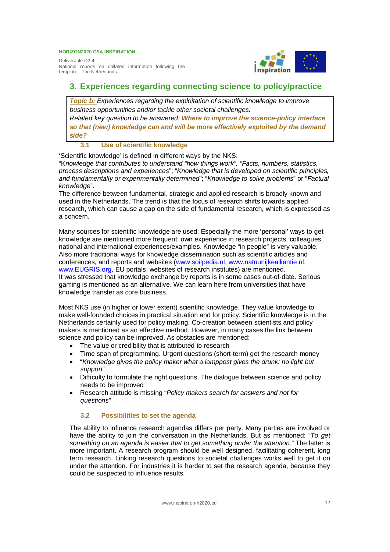Deliverable D2.4 – National reports on collated information following the template - The Netherlands



## **3. Experiences regarding connecting science to policy/practice**

*Topic b: Experiences regarding the exploitation of scientific knowledge to improve business opportunities and/or tackle other societal challenges.*

*Related key question to be answered: Where to improve the science-policy interface so that (new) knowledge can and will be more effectively exploited by the demand side?*

#### **3.1 Use of scientific knowledge**

'Scientific knowledge' is defined in different ways by the NKS:

"K*nowledge that contributes to understand "how things work", "Facts, numbers, statistics, process descriptions and experiences*"; "*Knowledge that is developed on scientific principles, and fundamentally or experimentally determined*"; "*Knowledge to solve problems*" or "*Factual knowledge*".

The difference between fundamental, strategic and applied research is broadly known and used in the Netherlands. The trend is that the focus of research shifts towards applied research, which can cause a gap on the side of fundamental research, which is expressed as a concern.

Many sources for scientific knowledge are used. Especially the more 'personal' ways to get knowledge are mentioned more frequent: own experience in research projects, colleagues, national and international experiences/examples. Knowledge "in people" is very valuable. Also more traditional ways for knowledge dissemination such as scientific articles and conferences, and reports and websites (www.soilpedia.nl, www.natuurlijkealliantie.nl, www.EUGRIS.org, EU portals, websites of research institutes) are mentioned. It was stressed that knowledge exchange by reports is in some cases out-of-date. Serious gaming is mentioned as an alternative. We can learn here from universities that have knowledge transfer as core business.

Most NKS use (in higher or lower extent) scientific knowledge. They value knowledge to make well-founded choices in practical situation and for policy. Scientific knowledge is in the Netherlands certainly used for policy making. Co-creation between scientists and policy makers is mentioned as an effective method. However, in many cases the link between science and policy can be improved. As obstacles are mentioned:

- The value or credibility that is attributed to research
- Time span of programming. Urgent questions (short-term) get the research money
- x "*Knowledge gives the policy maker what a lamppost gives the drunk: no light but support*"
- Difficulty to formulate the right questions. The dialogue between science and policy needs to be improved
- x Research attitude is missing "*Policy makers search for answers and not for questions*"

#### **3.2 Possibilities to set the agenda**

The ability to influence research agendas differs per party. Many parties are involved or have the ability to join the conversation in the Netherlands. But as mentioned: "*To get something on an agenda is easier that to get something under the attention*." The latter is more important. A research program should be well designed, facilitating coherent, long term research. Linking research questions to societal challenges works well to get it on under the attention. For industries it is harder to set the research agenda, because they could be suspected to influence results.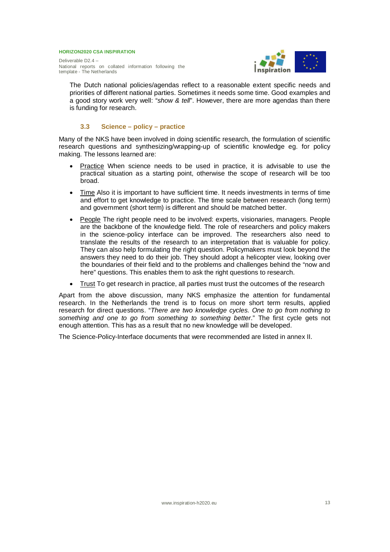Deliverable D2.4 – National reports on collated information following the template - The Netherlands



The Dutch national policies/agendas reflect to a reasonable extent specific needs and priorities of different national parties. Sometimes it needs some time. Good examples and a good story work very well: "*show & tell*". However, there are more agendas than there is funding for research.

#### **3.3 Science – policy – practice**

Many of the NKS have been involved in doing scientific research, the formulation of scientific research questions and synthesizing/wrapping-up of scientific knowledge eg. for policy making. The lessons learned are:

- Practice When science needs to be used in practice, it is advisable to use the practical situation as a starting point, otherwise the scope of research will be too broad.
- Time Also it is important to have sufficient time. It needs investments in terms of time and effort to get knowledge to practice. The time scale between research (long term) and government (short term) is different and should be matched better.
- People The right people need to be involved: experts, visionaries, managers. People are the backbone of the knowledge field. The role of researchers and policy makers in the science-policy interface can be improved. The researchers also need to translate the results of the research to an interpretation that is valuable for policy. They can also help formulating the right question. Policymakers must look beyond the answers they need to do their job. They should adopt a helicopter view, looking over the boundaries of their field and to the problems and challenges behind the "now and here" questions. This enables them to ask the right questions to research.
- Trust To get research in practice, all parties must trust the outcomes of the research

Apart from the above discussion, many NKS emphasize the attention for fundamental research. In the Netherlands the trend is to focus on more short term results, applied research for direct questions. "*There are two knowledge cycles. One to go from nothing to something and one to go from something to something better*." The first cycle gets not enough attention. This has as a result that no new knowledge will be developed.

The Science-Policy-Interface documents that were recommended are listed in annex II.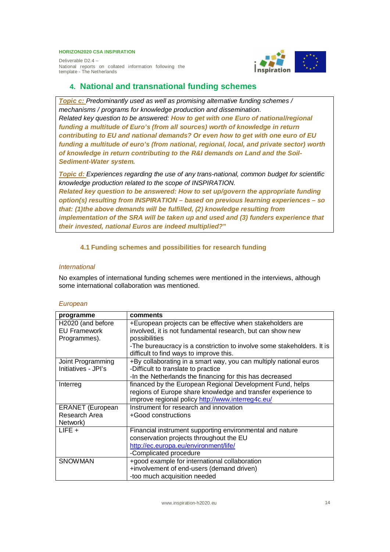Deliverable D2.4 – National reports on collated information following the template - The Netherlands

## **4. National and transnational funding schemes**

*Topic c: Predominantly used as well as promising alternative funding schemes / mechanisms / programs for knowledge production and dissemination. Related key question to be answered: How to get with one Euro of national/regional funding a multitude of Euro's (from all sources) worth of knowledge in return contributing to EU and national demands? Or even how to get with one euro of EU funding a multitude of euro's (from national, regional, local, and private sector) worth of knowledge in return contributing to the R&I demands on Land and the Soil-Sediment-Water system.*

*Topic d: Experiences regarding the use of any trans-national, common budget for scientific knowledge production related to the scope of INSPIRATION.*

*Related key question to be answered: How to set up/govern the appropriate funding option(s) resulting from INSPIRATION – based on previous learning experiences – so that: (1)the above demands will be fulfilled, (2) knowledge resulting from implementation of the SRA will be taken up and used and (3) funders experience that their invested, national Euros are indeed multiplied?***"**

#### **4.1 Funding schemes and possibilities for research funding**

#### *International*

No examples of international funding schemes were mentioned in the interviews, although some international collaboration was mentioned.

#### *European*

| programme               | comments                                                               |
|-------------------------|------------------------------------------------------------------------|
| H2020 (and before       | +European projects can be effective when stakeholders are              |
| <b>EU Framework</b>     | involved, it is not fundamental research, but can show new             |
| Programmes).            | possibilities                                                          |
|                         | -The bureaucracy is a constriction to involve some stakeholders. It is |
|                         | difficult to find ways to improve this.                                |
| Joint Programming       | +By collaborating in a smart way, you can multiply national euros      |
| Initiatives - JPI's     | -Difficult to translate to practice                                    |
|                         | -In the Netherlands the financing for this has decreased               |
| Interreg                | financed by the European Regional Development Fund, helps              |
|                         | regions of Europe share knowledge and transfer experience to           |
|                         | improve regional policy http://www.interreg4c.eu/                      |
| <b>ERANET</b> (European | Instrument for research and innovation                                 |
| Research Area           | +Good constructions                                                    |
| Network)                |                                                                        |
| $LIEE +$                | Financial instrument supporting environmental and nature               |
|                         | conservation projects throughout the EU                                |
|                         | http://ec.europa.eu/environment/life/                                  |
|                         | -Complicated procedure                                                 |
| <b>SNOWMAN</b>          | +good example for international collaboration                          |
|                         | +involvement of end-users (demand driven)                              |
|                         | -too much acquisition needed                                           |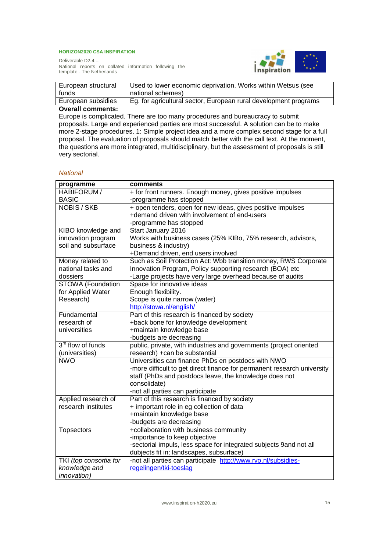

Deliverable D2.4 – National reports on collated information following the template - The Netherlands

| European structural | Used to lower economic deprivation. Works within Wetsus (see     |
|---------------------|------------------------------------------------------------------|
| funds               | national schemes)                                                |
| European subsidies  | Eg. for agricultural sector, European rural development programs |
|                     |                                                                  |

#### **Overall comments:**

Europe is complicated. There are too many procedures and bureaucracy to submit proposals. Large and experienced parties are most successful. A solution can be to make more 2-stage procedures. 1: Simple project idea and a more complex second stage for a full proposal. The evaluation of proposals should match better with the call text. At the moment, the questions are more integrated, multidisciplinary, but the assessment of proposals is still very sectorial.

#### *National*

| programme                     | comments                                                                |  |  |  |  |
|-------------------------------|-------------------------------------------------------------------------|--|--|--|--|
| HABIFORUM /                   | + for front runners. Enough money, gives positive impulses              |  |  |  |  |
| <b>BASIC</b>                  | -programme has stopped                                                  |  |  |  |  |
| <b>NOBIS / SKB</b>            | + open tenders, open for new ideas, gives positive impulses             |  |  |  |  |
|                               | +demand driven with involvement of end-users                            |  |  |  |  |
|                               | -programme has stopped                                                  |  |  |  |  |
| KIBO knowledge and            | Start January 2016                                                      |  |  |  |  |
| innovation program            | Works with business cases (25% KIBo, 75% research, advisors,            |  |  |  |  |
| soil and subsurface           | business & industry)                                                    |  |  |  |  |
|                               | +Demand driven, end users involved                                      |  |  |  |  |
| Money related to              | Such as Soil Protection Act: Wbb transition money, RWS Corporate        |  |  |  |  |
| national tasks and            | Innovation Program, Policy supporting research (BOA) etc                |  |  |  |  |
| dossiers                      | -Large projects have very large overhead because of audits              |  |  |  |  |
| <b>STOWA</b> (Foundation      | Space for innovative ideas                                              |  |  |  |  |
| for Applied Water             | Enough flexibility.                                                     |  |  |  |  |
| Research)                     | Scope is quite narrow (water)                                           |  |  |  |  |
|                               | http://stowa.nl/english/                                                |  |  |  |  |
| Fundamental                   | Part of this research is financed by society                            |  |  |  |  |
| research of                   | +back bone for knowledge development                                    |  |  |  |  |
| universities                  | +maintain knowledge base                                                |  |  |  |  |
|                               | -budgets are decreasing                                                 |  |  |  |  |
| 3 <sup>rd</sup> flow of funds | public, private, with industries and governments (project oriented      |  |  |  |  |
| (universities)                | research) + can be substantial                                          |  |  |  |  |
| <b>NWO</b>                    | Universities can finance PhDs en postdocs with NWO                      |  |  |  |  |
|                               | -more difficult to get direct finance for permanent research university |  |  |  |  |
|                               | staff (PhDs and postdocs leave, the knowledge does not                  |  |  |  |  |
|                               | consolidate)                                                            |  |  |  |  |
|                               | -not all parties can participate                                        |  |  |  |  |
| Applied research of           | Part of this research is financed by society                            |  |  |  |  |
| research institutes           | + important role in eg collection of data                               |  |  |  |  |
|                               | +maintain knowledge base                                                |  |  |  |  |
|                               | -budgets are decreasing                                                 |  |  |  |  |
| <b>Topsectors</b>             | +collaboration with business community                                  |  |  |  |  |
|                               | -importance to keep objective                                           |  |  |  |  |
|                               | -sectorial impuls, less space for integrated subjects 9and not all      |  |  |  |  |
|                               | dubjects fit in: landscapes, subsurface)                                |  |  |  |  |
| TKI (top consortia for        | -not all parties can participate http://www.rvo.nl/subsidies-           |  |  |  |  |
| knowledge and                 | regelingen/tki-toeslag                                                  |  |  |  |  |
| <i>innovation</i> )           |                                                                         |  |  |  |  |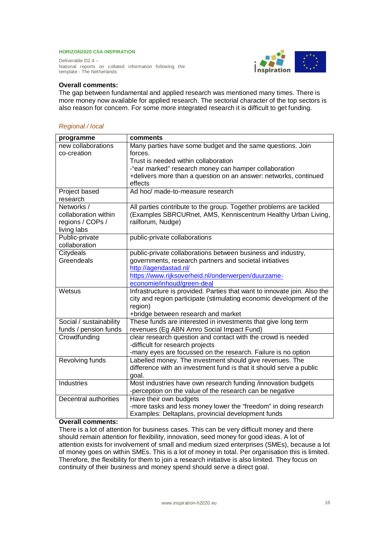Deliverable D2.4 – National reports on collated information following the template - The Netherlands



#### **Overall comments:**

The gap between fundamental and applied research was mentioned many times. There is more money now available for applied research. The sectorial character of the top sectors is also reason for concern. For some more integrated research it is difficult to get funding.

#### *Regional / local*

| programme               | comments                                                                 |
|-------------------------|--------------------------------------------------------------------------|
| new collaborations      | Many parties have some budget and the same questions. Join               |
| co-creation             | forces.                                                                  |
|                         | Trust is needed within collaboration                                     |
|                         | -"ear marked" research money can hamper collaboration                    |
|                         | +delivers more than a question on an answer: networks, continued         |
|                         | effects                                                                  |
| Project based           | Ad hoc/ made-to-measure research                                         |
| research                |                                                                          |
| Networks /              | All parties contribute to the group. Together problems are tackled       |
| collaboration within    | (Examples SBRCURnet, AMS, Kenniscentrum Healthy Urban Living,            |
| regions / COPs /        | railforum, Nudge)                                                        |
| living labs             |                                                                          |
| Public-private          | public-private collaborations                                            |
| collaboration           |                                                                          |
| Citydeals               | public-private collaborations between business and industry,             |
| Greendeals              | governments, research partners and societal initiatives                  |
|                         | http://agendastad.nl/                                                    |
|                         | https://www.rijksoverheid.nl/onderwerpen/duurzame-                       |
|                         | economie/inhoud/green-deal                                               |
| Wetsus                  | Infrastructure is provided. Parties that want to innovate join. Also the |
|                         | city and region participate (stimulating economic development of the     |
|                         | region)                                                                  |
|                         | +bridge between research and market                                      |
| Social / sustainability | These funds are interested in investments that give long term            |
| funds / pension funds   | revenues (Eg ABN Amro Social Impact Fund)                                |
| Crowdfunding            | clear research question and contact with the crowd is needed             |
|                         | -difficult for research projects                                         |
|                         | -many eyes are focussed on the research. Failure is no option            |
| Revolving funds         | Labelled money. The investment should give revenues. The                 |
|                         | difference with an investment fund is that it should serve a public      |
|                         | goal.                                                                    |
| Industries              | Most industries have own research funding /innovation budgets            |
|                         | -perception on the value of the research can be negative                 |
| Decentral authorities   | Have their own budgets                                                   |
|                         | -more tasks and less money lower the "freedom" in doing research         |
|                         | Examples: Deltaplans, provincial development funds                       |

#### **Overall comments:**

There is a lot of attention for business cases. This can be very difficult money and there should remain attention for flexibility, innovation, seed money for good ideas. A lot of attention exists for involvement of small and medium sized enterprises (SMEs), because a lot of money goes on within SMEs. This is a lot of money in total. Per organisation this is limited. Therefore, the flexibility for them to join a research initiative is also limited. They focus on continuity of their business and money spend should serve a direct goal.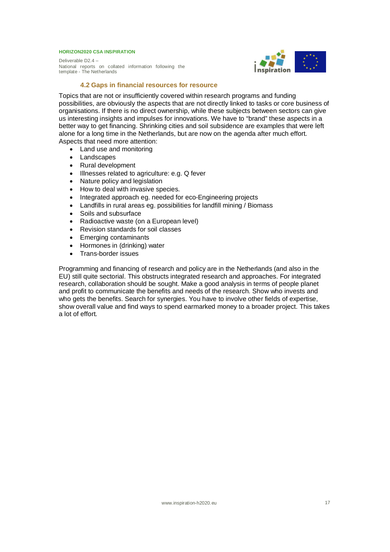Deliverable D2.4 – National reports on collated information following the template - The Netherlands



#### **4.2 Gaps in financial resources for resource**

Topics that are not or insufficiently covered within research programs and funding possibilities, are obviously the aspects that are not directly linked to tasks or core business of organisations. If there is no direct ownership, while these subjects between sectors can give us interesting insights and impulses for innovations. We have to "brand" these aspects in a better way to get financing. Shrinking cities and soil subsidence are examples that were left alone for a long time in the Netherlands, but are now on the agenda after much effort. Aspects that need more attention:

- Land use and monitoring
- Landscapes
- Rural development
- Illnesses related to agriculture: e.g. Q fever
- Nature policy and legislation
- How to deal with invasive species.
- Integrated approach eg. needed for eco-Engineering projects
- Landfills in rural areas eg. possibilities for landfill mining / Biomass
- Soils and subsurface
- Radioactive waste (on a European level)
- Revision standards for soil classes
- Emerging contaminants
- Hormones in (drinking) water
- Trans-border issues

Programming and financing of research and policy are in the Netherlands (and also in the EU) still quite sectorial. This obstructs integrated research and approaches. For integrated research, collaboration should be sought. Make a good analysis in terms of people planet and profit to communicate the benefits and needs of the research. Show who invests and who gets the benefits. Search for synergies. You have to involve other fields of expertise, show overall value and find ways to spend earmarked money to a broader project. This takes a lot of effort.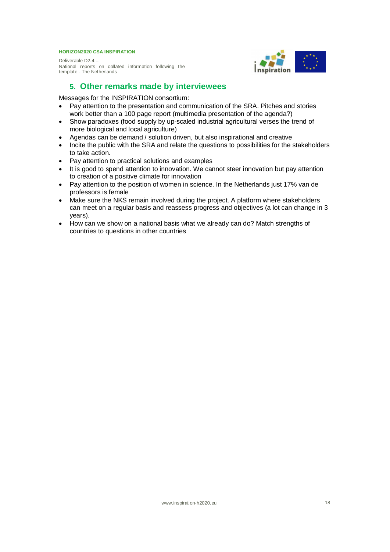Deliverable D2.4 – National reports on collated information following the template - The Netherlands



## **5. Other remarks made by interviewees**

Messages for the INSPIRATION consortium:

- Pay attention to the presentation and communication of the SRA. Pitches and stories work better than a 100 page report (multimedia presentation of the agenda?)
- Show paradoxes (food supply by up-scaled industrial agricultural verses the trend of more biological and local agriculture)
- Agendas can be demand / solution driven, but also inspirational and creative
- Incite the public with the SRA and relate the questions to possibilities for the stakeholders to take action.
- Pay attention to practical solutions and examples
- It is good to spend attention to innovation. We cannot steer innovation but pay attention to creation of a positive climate for innovation
- Pay attention to the position of women in science. In the Netherlands just 17% van de professors is female
- Make sure the NKS remain involved during the project. A platform where stakeholders can meet on a regular basis and reassess progress and objectives (a lot can change in 3 years).
- How can we show on a national basis what we already can do? Match strengths of countries to questions in other countries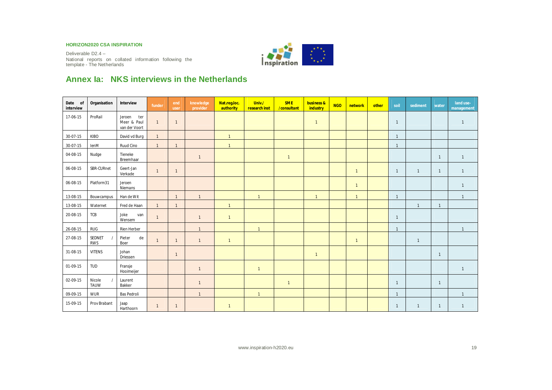Deliverable D2.4 – National reports on collated information following the template - The Netherlands



## **Annex Ia: NKS interviews in the Netherlands**

| Date of<br>interview | Organisation          | Interview                                     | funder       | end<br>user    | knowledge<br>provider | Nat.reg.loc.<br>authority | Univ./<br>research inst | <b>SME</b><br>/consultant | business &<br>industry | <b>NGO</b> | network        | other | soil         | sediment       | water          | land use-<br>management |
|----------------------|-----------------------|-----------------------------------------------|--------------|----------------|-----------------------|---------------------------|-------------------------|---------------------------|------------------------|------------|----------------|-------|--------------|----------------|----------------|-------------------------|
| 17-06-15             | ProRail               | Jeroen<br>ter<br>Meer & Paul<br>van der Voort | $\mathbf{1}$ | $\overline{1}$ |                       |                           |                         |                           | $\mathbf{1}$           |            |                |       | $\mathbf{1}$ |                |                | $\mathbf{1}$            |
| 30-07-15             | KIBO                  | David vd Burg                                 | $\mathbf{1}$ |                |                       |                           |                         |                           |                        |            |                |       | $\mathbf{1}$ |                |                |                         |
| 30-07-15             | lenM                  | Ruud Cino                                     | $\mathbf{1}$ | $\overline{1}$ |                       |                           |                         |                           |                        |            |                |       | $\mathbf{1}$ |                |                |                         |
| 04-08-15             | Nudge                 | Tieneke<br>Breemhaar                          |              |                | $\mathbf{1}$          |                           |                         | $\overline{1}$            |                        |            |                |       |              |                | $\overline{1}$ | $\overline{1}$          |
| 06-08-15             | SBR-CURnet            | Geert-Jan<br>Verkade                          | $\mathbf{1}$ | $\overline{1}$ |                       |                           |                         |                           |                        |            | $\overline{1}$ |       | $\mathbf{1}$ | $\overline{1}$ | $\overline{1}$ | $\overline{1}$          |
| 06-08-15             | Platform31            | Jeroen<br>Niemans                             |              |                |                       |                           |                         |                           |                        |            | $\mathbf{1}$   |       |              |                |                | $\overline{1}$          |
| 13-08-15             | Bouwcampus            | Han de Wit                                    |              | $\overline{1}$ | $\mathbf{1}$          |                           | $\overline{1}$          |                           | $\mathbf{1}$           |            | $\mathbf{1}$   |       | $\mathbf{1}$ |                |                | $\overline{1}$          |
| 13-08-15             | Waternet              | Fred de Haan                                  | $\mathbf{1}$ | $\overline{1}$ |                       | $\overline{1}$            |                         |                           |                        |            |                |       |              | $\overline{1}$ |                |                         |
| 20-08-15             | TCB                   | Joke<br>van<br>Wensem                         | $\mathbf{1}$ |                | $\mathbf{1}$          | $\overline{1}$            |                         |                           |                        |            |                |       | $\mathbf{1}$ |                |                |                         |
| 26-08-15             | <b>RUG</b>            | Rien Herber                                   |              |                | $\mathbf{1}$          |                           | $\overline{1}$          |                           |                        |            |                |       | $\mathbf{1}$ |                |                |                         |
| 27-08-15             | SEDNET<br><b>RWS</b>  | de<br>Pieter<br>Boer                          | $\mathbf{1}$ | $\overline{1}$ | $\mathbf{1}$          | $\overline{1}$            |                         |                           |                        |            | $\overline{1}$ |       |              | $\mathbf{1}$   |                |                         |
| 31-08-15             | <b>VITENS</b>         | Johan<br>Driessen                             |              | $\overline{1}$ |                       |                           |                         |                           | $\overline{1}$         |            |                |       |              |                | $\overline{1}$ |                         |
| 01-09-15             | TUD                   | Fransje<br>Hooimeijer                         |              |                | $\mathbf{1}$          |                           | $\overline{1}$          |                           |                        |            |                |       |              |                |                | $\overline{1}$          |
| 02-09-15             | Nicole<br><b>TAUW</b> | Laurent<br>Bakker                             |              |                | $\mathbf{1}$          |                           |                         | $\mathbf{1}$              |                        |            |                |       | $\mathbf{1}$ |                | $\overline{1}$ |                         |
| 09-09-15             | <b>WUR</b>            | Bas Pedroli                                   |              |                | $\mathbf{1}$          |                           | $\mathbf{1}$            |                           |                        |            |                |       | $\mathbf{1}$ |                |                | $\mathbf{1}$            |
| 15-09-15             | Prov Brabant          | Jaap<br>Harthoorn                             | $\mathbf{1}$ | $\overline{1}$ |                       | $\overline{1}$            |                         |                           |                        |            |                |       | $\mathbf{1}$ | $\mathbf{1}$   | $\overline{1}$ | $\overline{1}$          |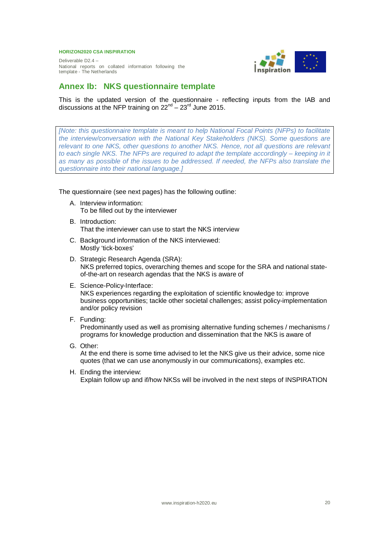Deliverable D2.4 – National reports on collated information following the template - The Netherlands



## **Annex Ib: NKS questionnaire template**

This is the updated version of the questionnaire - reflecting inputs from the IAB and discussions at the NFP training on  $22^{nd} - 23^{rd}$  June 2015.

*[Note: this questionnaire template is meant to help National Focal Points (NFPs) to facilitate the interview/conversation with the National Key Stakeholders (NKS). Some questions are relevant to one NKS, other questions to another NKS. Hence, not all questions are relevant to each single NKS. The NFPs are required to adapt the template accordingly – keeping in it as many as possible of the issues to be addressed. If needed, the NFPs also translate the questionnaire into their national language.]*

The questionnaire (see next pages) has the following outline:

- A. Interview information: To be filled out by the interviewer
- B. Introduction: That the interviewer can use to start the NKS interview
- C. Background information of the NKS interviewed: Mostly 'tick-boxes'
- D. Strategic Research Agenda (SRA): NKS preferred topics, overarching themes and scope for the SRA and national stateof-the-art on research agendas that the NKS is aware of
- E. Science-Policy-Interface: NKS experiences regarding the exploitation of scientific knowledge to: improve business opportunities; tackle other societal challenges; assist policy-implementation and/or policy revision
- F. Funding:

Predominantly used as well as promising alternative funding schemes / mechanisms / programs for knowledge production and dissemination that the NKS is aware of

G. Other: At the end there is some time advised to let the NKS give us their advice, some nice

quotes (that we can use anonymously in our communications), examples etc. H. Ending the interview:

Explain follow up and if/how NKSs will be involved in the next steps of INSPIRATION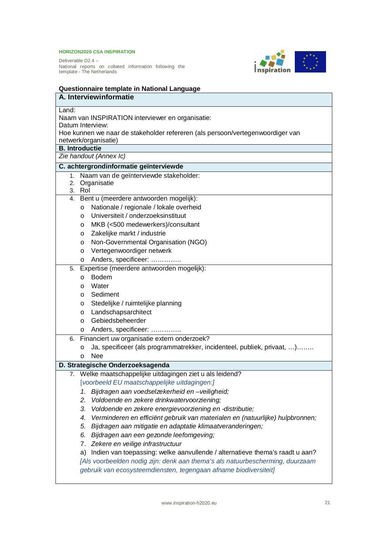

| Questionnaire template in National Language                                         |
|-------------------------------------------------------------------------------------|
| A. Interviewinformatie                                                              |
| Land:                                                                               |
| Naam van INSPIRATION interviewer en organisatie:                                    |
| Datum Interview:                                                                    |
| Hoe kunnen we naar de stakeholder refereren (als persoon/vertegenwoordiger van      |
| netwerk/organisatie)                                                                |
| <b>B.</b> Introductie                                                               |
| Zie handout (Annex Ic)                                                              |
| C. achtergrondinformatie geïnterviewde                                              |
| 1. Naam van de geïnterviewde stakeholder:                                           |
| 2. Organisatie                                                                      |
| 3. Rol                                                                              |
| 4. Bent u (meerdere antwoorden mogelijk):                                           |
| Nationale / regionale / lokale overheid<br>$\circ$                                  |
| Universiteit / onderzoeksinstituut<br>$\circ$                                       |
| MKB (<500 medewerkers)/consultant<br>$\circ$                                        |
| Zakelijke markt / industrie<br>$\circ$                                              |
| Non-Governmental Organisation (NGO)<br>$\circ$                                      |
| Vertegenwoordiger netwerk<br>$\circ$                                                |
| Anders, specificeer:<br>$\circ$                                                     |
| Expertise (meerdere antwoorden mogelijk):<br>5.                                     |
| <b>Bodem</b><br>$\circ$                                                             |
| Water<br>$\circ$                                                                    |
| Sediment<br>$\circ$                                                                 |
| Stedelijke / ruimtelijke planning<br>$\circ$                                        |
| Landschapsarchitect<br>$\circ$                                                      |
| Gebiedsbeheerder<br>$\circ$                                                         |
| Anders, specificeer:<br>$\circ$                                                     |
| Financiert uw organisatie extern onderzoek?<br>6.                                   |
| Ja, specificeer (als programmatrekker, incidenteel, publiek, privaat, )<br>$\circ$  |
| <b>Nee</b><br>$\circ$                                                               |
| D. Strategische Onderzoeksagenda                                                    |
| 7. Welke maatschappelijke uitdagingen ziet u als leidend?                           |
| [voorbeeld EU maatschappelijke uitdagingen:]                                        |
| Bijdragen aan voedselzekerheid en -veiligheid;<br>1.                                |
| 2.<br>Voldoende en zekere drinkwatervoorziening;                                    |
| 3.<br>Voldoende en zekere energievoorziening en -distributie;                       |
| Verminderen en efficiënt gebruik van materialen en (natuurlijke) hulpbronnen;<br>4. |
| 5.<br>Bijdragen aan mitigatie en adaptatie klimaatveranderingen;                    |
| 6.<br>Bijdragen aan een gezonde leefomgeving;                                       |
| 7. Zekere en veilige infrastructuur                                                 |
| Indien van toepassing: welke aanvullende / alternatieve thema's raadt u aan?<br>a)  |
| [Als voorbeelden nodig zijn: denk aan thema's als natuurbescherming, duurzaam       |
| gebruik van ecosysteemdiensten, tegengaan afname biodiversiteit]                    |
|                                                                                     |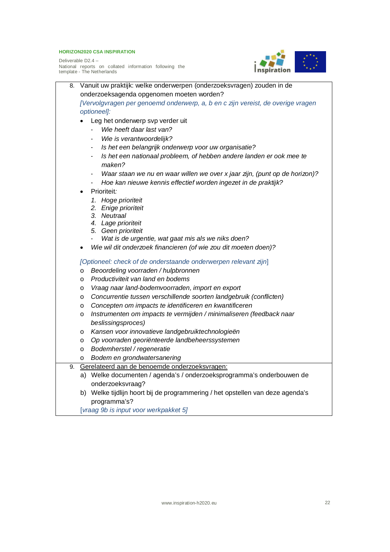

| 8. | Vanuit uw praktijk: welke onderwerpen (onderzoeksvragen) zouden in de                          |  |
|----|------------------------------------------------------------------------------------------------|--|
|    | onderzoeksagenda opgenomen moeten worden?                                                      |  |
|    | [Vervolgvragen per genoemd onderwerp, a, b en c zijn vereist, de overige vragen<br>optioneel]: |  |
|    |                                                                                                |  |
|    | Leg het onderwerp svp verder uit<br>Wie heeft daar last van?                                   |  |
|    |                                                                                                |  |
|    | Wie is verantwoordelijk?                                                                       |  |
|    | Is het een belangrijk onderwerp voor uw organisatie?<br>$\qquad \qquad \blacksquare$           |  |
|    | Is het een nationaal probleem, of hebben andere landen er ook mee te<br>maken?                 |  |
|    | Waar staan we nu en waar willen we over x jaar zijn, (punt op de horizon)?                     |  |
|    | Hoe kan nieuwe kennis effectief worden ingezet in de praktijk?                                 |  |
|    | Prioriteit:                                                                                    |  |
|    | 1. Hoge prioriteit                                                                             |  |
|    | 2. Enige prioriteit                                                                            |  |
|    | 3. Neutraal                                                                                    |  |
|    | 4. Lage prioriteit                                                                             |  |
|    | 5. Geen prioriteit<br>Wat is de urgentie, wat gaat mis als we niks doen?                       |  |
|    | Wie wil dit onderzoek financieren (of wie zou dit moeten doen)?                                |  |
|    |                                                                                                |  |
|    | [Optioneel: check of de onderstaande onderwerpen relevant zijn]                                |  |
|    | Beoordeling voorraden / hulpbronnen<br>$\circ$                                                 |  |
|    | Productiviteit van land en bodems<br>O                                                         |  |
|    | Vraag naar land-bodemvoorraden, import en export<br>O                                          |  |
|    | Concurrentie tussen verschillende soorten landgebruik (conflicten)<br>O                        |  |
|    | Concepten om impacts te identificeren en kwantificeren<br>O                                    |  |
|    | Instrumenten om impacts te vermijden / minimaliseren (feedback naar<br>O                       |  |
|    | beslissingsproces)                                                                             |  |
|    | Kansen voor innovatieve landgebruiktechnologieën<br>O                                          |  |
|    | Op voorraden georiënteerde landbeheerssystemen<br>O                                            |  |
|    | Bodemherstel / regeneratie<br>O                                                                |  |
|    | Bodem en grondwatersanering<br>O                                                               |  |
| 9. | Gerelateerd aan de benoemde onderzoeksvragen:                                                  |  |
|    | Welke documenten / agenda's / onderzoeksprogramma's onderbouwen de<br>a)                       |  |
|    | onderzoeksvraag?                                                                               |  |
|    | b) Welke tijdlijn hoort bij de programmering / het opstellen van deze agenda's                 |  |
|    | programma's?                                                                                   |  |
|    | [vraag 9b is input voor werkpakket 5]                                                          |  |
|    |                                                                                                |  |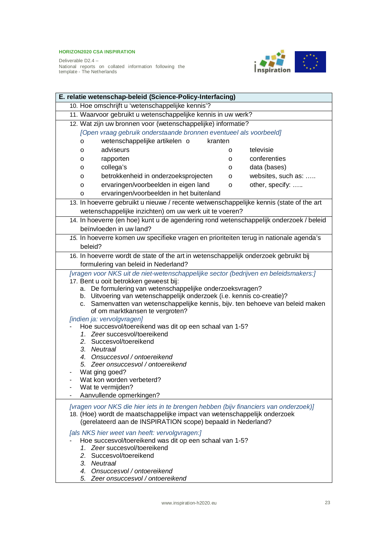

| E. relatie wetenschap-beleid (Science-Policy-Interfacing)                                                                                                                                                                                                                                                                                                                                                                                                                                                                                                                                                                                                                                                                            |   |                    |  |  |  |  |  |
|--------------------------------------------------------------------------------------------------------------------------------------------------------------------------------------------------------------------------------------------------------------------------------------------------------------------------------------------------------------------------------------------------------------------------------------------------------------------------------------------------------------------------------------------------------------------------------------------------------------------------------------------------------------------------------------------------------------------------------------|---|--------------------|--|--|--|--|--|
| 10. Hoe omschrijft u 'wetenschappelijke kennis'?                                                                                                                                                                                                                                                                                                                                                                                                                                                                                                                                                                                                                                                                                     |   |                    |  |  |  |  |  |
| 11. Waarvoor gebruikt u wetenschappelijke kennis in uw werk?                                                                                                                                                                                                                                                                                                                                                                                                                                                                                                                                                                                                                                                                         |   |                    |  |  |  |  |  |
| 12. Wat zijn uw bronnen voor (wetenschappelijke) informatie?                                                                                                                                                                                                                                                                                                                                                                                                                                                                                                                                                                                                                                                                         |   |                    |  |  |  |  |  |
| [Open vraag gebruik onderstaande bronnen eventueel als voorbeeld]                                                                                                                                                                                                                                                                                                                                                                                                                                                                                                                                                                                                                                                                    |   |                    |  |  |  |  |  |
| wetenschappelijke artikelen o<br>kranten<br>$\circ$                                                                                                                                                                                                                                                                                                                                                                                                                                                                                                                                                                                                                                                                                  |   |                    |  |  |  |  |  |
| adviseurs<br>o                                                                                                                                                                                                                                                                                                                                                                                                                                                                                                                                                                                                                                                                                                                       | о | televisie          |  |  |  |  |  |
| rapporten<br>0                                                                                                                                                                                                                                                                                                                                                                                                                                                                                                                                                                                                                                                                                                                       | o | conferenties       |  |  |  |  |  |
| collega's<br>о                                                                                                                                                                                                                                                                                                                                                                                                                                                                                                                                                                                                                                                                                                                       | о | data (bases)       |  |  |  |  |  |
| betrokkenheid in onderzoeksprojecten<br>o                                                                                                                                                                                                                                                                                                                                                                                                                                                                                                                                                                                                                                                                                            | o | websites, such as: |  |  |  |  |  |
| ervaringen/voorbeelden in eigen land<br>o                                                                                                                                                                                                                                                                                                                                                                                                                                                                                                                                                                                                                                                                                            | o | other, specify:    |  |  |  |  |  |
| ervaringen/voorbeelden in het buitenland<br>o                                                                                                                                                                                                                                                                                                                                                                                                                                                                                                                                                                                                                                                                                        |   |                    |  |  |  |  |  |
| 13. In hoeverre gebruikt u nieuwe / recente wetwenschappelijke kennis (state of the art                                                                                                                                                                                                                                                                                                                                                                                                                                                                                                                                                                                                                                              |   |                    |  |  |  |  |  |
| wetenschappelijke inzichten) om uw werk uit te voeren?                                                                                                                                                                                                                                                                                                                                                                                                                                                                                                                                                                                                                                                                               |   |                    |  |  |  |  |  |
| 14. In hoeverre (en hoe) kunt u de agendering rond wetenschappelijk onderzoek / beleid                                                                                                                                                                                                                                                                                                                                                                                                                                                                                                                                                                                                                                               |   |                    |  |  |  |  |  |
| beïnvloeden in uw land?                                                                                                                                                                                                                                                                                                                                                                                                                                                                                                                                                                                                                                                                                                              |   |                    |  |  |  |  |  |
| 15. In hoeverre komen uw specifieke vragen en prioriteiten terug in nationale agenda's                                                                                                                                                                                                                                                                                                                                                                                                                                                                                                                                                                                                                                               |   |                    |  |  |  |  |  |
| beleid?                                                                                                                                                                                                                                                                                                                                                                                                                                                                                                                                                                                                                                                                                                                              |   |                    |  |  |  |  |  |
| 16. In hoeverre wordt de state of the art in wetenschappelijk onderzoek gebruikt bij                                                                                                                                                                                                                                                                                                                                                                                                                                                                                                                                                                                                                                                 |   |                    |  |  |  |  |  |
| formulering van beleid in Nederland?                                                                                                                                                                                                                                                                                                                                                                                                                                                                                                                                                                                                                                                                                                 |   |                    |  |  |  |  |  |
| [vragen voor NKS uit de niet-wetenschappelijke sector (bedrijven en beleidsmakers:]<br>17. Bent u ooit betrokken geweest bij:<br>a. De formulering van wetenschappelijke onderzoeksvragen?<br>b. Uitvoering van wetenschappelijk onderzoek (i.e. kennis co-creatie)?<br>c. Samenvatten van wetenschappelijke kennis, bijv. ten behoeve van beleid maken<br>of om marktkansen te vergroten?<br>[indien ja: vervolgvragen]<br>Hoe succesvol/toereikend was dit op een schaal van 1-5?<br>1. Zeer succesvol/toereikend<br>2. Succesvol/toereikend<br>3. Neutraal<br>4. Onsuccesvol / ontoereikend<br>5. Zeer onsuccesvol / ontoereikend<br>Wat ging goed?<br>Wat kon worden verbeterd?<br>Wat te vermijden?<br>Aanvullende opmerkingen? |   |                    |  |  |  |  |  |
| [vragen voor NKS die hier iets in te brengen hebben (bijv financiers van onderzoek)]<br>18. (Hoe) wordt de maatschappelijke impact van wetenschappelijk onderzoek<br>(gerelateerd aan de INSPIRATION scope) bepaald in Nederland?<br>[als NKS hier weet van heeft: vervolgvragen:]<br>Hoe succesvol/toereikend was dit op een schaal van 1-5?<br>1. Zeer succesvol/toereikend<br>2. Succesvol/toereikend<br>3. Neutraal<br>4. Onsuccesvol / ontoereikend<br>5. Zeer onsuccesvol / ontoereikend                                                                                                                                                                                                                                       |   |                    |  |  |  |  |  |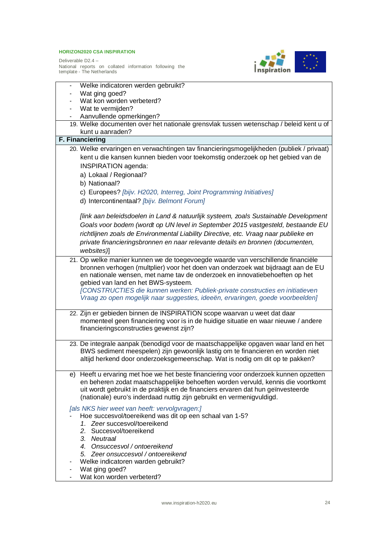

| Welke indicatoren werden gebruikt?                                                                                                                              |
|-----------------------------------------------------------------------------------------------------------------------------------------------------------------|
| Wat ging goed?                                                                                                                                                  |
| Wat kon worden verbeterd?                                                                                                                                       |
| Wat te vermijden?                                                                                                                                               |
| Aanvullende opmerkingen?                                                                                                                                        |
| 19. Welke documenten over het nationale grensvlak tussen wetenschap / beleid kent u of                                                                          |
| kunt u aanraden?                                                                                                                                                |
| F. Financiering                                                                                                                                                 |
| 20. Welke ervaringen en verwachtingen tav financieringsmogelijkheden (publiek / privaat)                                                                        |
| kent u die kansen kunnen bieden voor toekomstig onderzoek op het gebied van de                                                                                  |
| INSPIRATION agenda:                                                                                                                                             |
| a) Lokaal / Regionaal?                                                                                                                                          |
| b) Nationaal?                                                                                                                                                   |
| c) Europees? [bijv. H2020, Interreg, Joint Programming Initiatives]                                                                                             |
|                                                                                                                                                                 |
| d) Intercontinentaal? [bijv. Belmont Forum]                                                                                                                     |
|                                                                                                                                                                 |
| [link aan beleidsdoelen in Land & natuurlijk systeem, zoals Sustainable Development                                                                             |
| Goals voor bodem (wordt op UN level in September 2015 vastgesteld, bestaande EU                                                                                 |
| richtlijnen zoals de Environmental Liability Directive, etc. Vraag naar publieke en                                                                             |
| private financieringsbronnen en naar relevante details en bronnen (documenten,                                                                                  |
| websites)]                                                                                                                                                      |
| 21. Op welke manier kunnen we de toegevoegde waarde van verschillende financiële                                                                                |
| bronnen verhogen (multplier) voor het doen van onderzoek wat bijdraagt aan de EU                                                                                |
| en nationale wensen, met name tav de onderzoek en innovatiebehoeften op het                                                                                     |
| gebied van land en het BWS-systeem.                                                                                                                             |
| [CONSTRUCTIES die kunnen werken: Publiek-private constructies en initiatieven                                                                                   |
| Vraag zo open mogelijk naar suggesties, ideeën, ervaringen, goede voorbeelden]                                                                                  |
|                                                                                                                                                                 |
| 22. Zijn er gebieden binnen de INSPIRATION scope waarvan u weet dat daar                                                                                        |
| momenteel geen financiering voor is in de huidige situatie en waar nieuwe / andere                                                                              |
| financieringsconstructies gewenst zijn?                                                                                                                         |
|                                                                                                                                                                 |
| 23. De integrale aanpak (benodigd voor de maatschappelijke opgaven waar land en het                                                                             |
| BWS sediment meespelen) zijn gewoonlijk lastig om te financieren en worden niet<br>altijd herkend door onderzoeksgemeenschap. Wat is nodig om dit op te pakken? |
|                                                                                                                                                                 |
| e) Heeft u ervaring met hoe we het beste financiering voor onderzoek kunnen opzetten                                                                            |
| en beheren zodat maatschappelijke behoeften worden vervuld, kennis die voortkomt                                                                                |
| uit wordt gebruikt in de praktijk en de financiers ervaren dat hun geïnvesteerde                                                                                |
| (nationale) euro's inderdaad nuttig zijn gebruikt en vermenigvuldigd.                                                                                           |
|                                                                                                                                                                 |
| [als NKS hier weet van heeft: vervolgvragen:]                                                                                                                   |
| Hoe succesvol/toereikend was dit op een schaal van 1-5?                                                                                                         |
| 1. Zeer succesvol/toereikend<br>2. Succesvol/toereikend                                                                                                         |
|                                                                                                                                                                 |
| 3. Neutraal<br>4. Onsuccesvol / ontoereikend                                                                                                                    |
|                                                                                                                                                                 |
| 5. Zeer onsuccesvol / ontoereikend                                                                                                                              |
| Welke indicatoren warden gebruikt?<br>Wat ging goed?                                                                                                            |
| Wat kon worden verbeterd?                                                                                                                                       |
|                                                                                                                                                                 |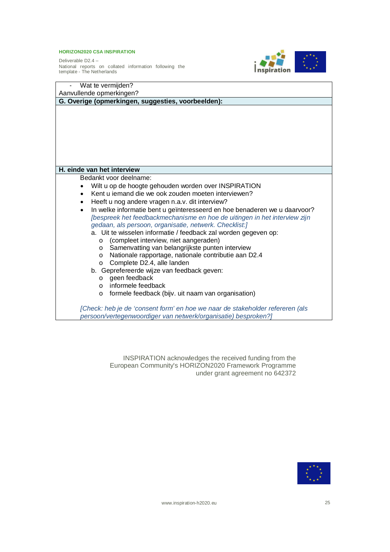Deliverable D2.4 – National reports on collated information following the template - The Netherlands



| Wat te vermijden?                                                                                                                               |
|-------------------------------------------------------------------------------------------------------------------------------------------------|
| Aanvullende opmerkingen?                                                                                                                        |
| G. Overige (opmerkingen, suggesties, voorbeelden):                                                                                              |
|                                                                                                                                                 |
| H. einde van het interview                                                                                                                      |
| Bedankt voor deelname:                                                                                                                          |
| Wilt u op de hoogte gehouden worden over INSPIRATION<br>$\bullet$                                                                               |
| Kent u jemand die we ook zouden moeten interviewen?<br>$\bullet$                                                                                |
| Heeft u nog andere vragen n.a.v. dit interview?<br>$\bullet$                                                                                    |
| In welke informatie bent u geïnteresseerd en hoe benaderen we u daarvoor?<br>$\bullet$                                                          |
| [bespreek het feedbackmechanisme en hoe de uitingen in het interview zijn                                                                       |
| gedaan, als persoon, organisatie, netwerk. Checklist:]                                                                                          |
| a. Uit te wisselen informatie / feedback zal worden gegeven op:                                                                                 |
| (compleet interview, niet aangeraden)<br>$\circ$                                                                                                |
| Samenvatting van belangrijkste punten interview<br>$\circ$                                                                                      |
| Nationale rapportage, nationale contributie aan D2.4<br>$\circ$                                                                                 |
| Complete D2.4, alle landen<br>$\circ$                                                                                                           |
| b. Geprefereerde wijze van feedback geven:                                                                                                      |
| geen feedback<br>$\circ$                                                                                                                        |
| informele feedback<br>$\Omega$                                                                                                                  |
| formele feedback (bijv. uit naam van organisation)<br>$\circ$                                                                                   |
| [Check: heb je de 'consent form' en hoe we naar de stakeholder refereren (als<br>persoon/vertegenwoordiger van netwerk/organisatie) besproken?] |

INSPIRATION acknowledges the received funding from the European Community's HORIZON2020 Framework Programme under grant agreement no 642372

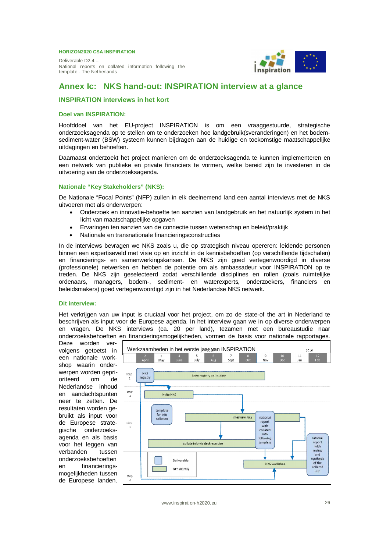Deliverable D2.4 – National reports on collated information following the template - The Netherlands



## **Annex Ic: NKS hand-out: INSPIRATION interview at a glance**

#### **INSPIRATION interviews in het kort**

#### **Doel van INSPIRATION:**

Hoofddoel van het EU-project INSPIRATION is om een vraaggestuurde, strategische onderzoeksagenda op te stellen om te onderzoeken hoe landgebruik(sveranderingen) en het bodemsediment-water (BSW) systeem kunnen bijdragen aan de huidige en toekomstige maatschappelijke uitdagingen en behoeften.

Daarnaast onderzoekt het project manieren om de onderzoeksagenda te kunnen implementeren en een netwerk van publieke en private financiers te vormen, welke bereid zijn te investeren in de uitvoering van de onderzoeksagenda.

#### **Nationale "Key Stakeholders" (NKS):**

De Nationale "Focal Points" (NFP) zullen in elk deelnemend land een aantal interviews met de NKS uitvoeren met als onderwerpen:

- x Onderzoek en innovatie-behoefte ten aanzien van landgebruik en het natuurlijk system in het licht van maatschappelijke opgaven
- Ervaringen ten aanzien van de connectie tussen wetenschap en beleid/praktijk
- Nationale en transnationale financieringsconstructies

In de interviews bevragen we NKS zoals u, die op strategisch niveau opereren: leidende personen binnen een expertiseveld met visie op en inzicht in de kennisbehoeften (op verschillende tijdschalen) en financierings- en samenwerkingskansen. De NKS zijn goed vertegenwoordigd in diverse (professionele) netwerken en hebben de potentie om als ambassadeur voor INSPIRATION op te treden. De NKS zijn geselecteerd zodat verschillende disciplines en rollen (zoals ruimtelijke ordenaars, managers, bodem-, sediment- en waterexperts, onderzoekers, financiers en beleidsmakers) goed vertegenwoordigd zijn in het Nederlandse NKS netwerk.

#### **Dit interview:**

Het verkrijgen van uw input is cruciaal voor het project, om zo de state-of the art in Nederland te beschrijven als input voor de Europese agenda. In het interview gaan we in op diverse onderwerpen en vragen. De NKS interviews (ca. 20 per land), tezamen met een bureaustudie naar onderzoeksbehoeften en financieringsmogelijkheden, vormen de basis voor nationale rapportages.

Deze worden vervolgens getoetst in een nationale workshop waarin onderwerpen worden geprioriteerd om de Nederlandse inhoud en aandachtspunten neer te zetten. De resultaten worden gebruikt als input voor de Europese strategische onderzoeksagenda en als basis voor het leggen van verbanden tussen onderzoeksbehoeften en financieringsmogelijkheden tussen de Europese landen.

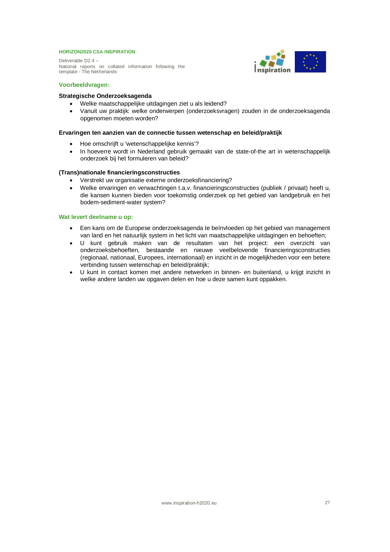Deliverable D2.4 – National reports on collated information following the template - The Netherlands



#### **Voorbeeldvragen:**

#### **Strategische Onderzoeksagenda**

- Welke maatschappelijke uitdagingen ziet u als leidend?
- Vanuit uw praktijk: welke onderwerpen (onderzoeksvragen) zouden in de onderzoeksagenda opgenomen moeten worden?

#### **Ervaringen ten aanzien van de connectie tussen wetenschap en beleid/praktijk**

- Hoe omschrijft u 'wetenschappelijke kennis'?
- In hoeverre wordt in Nederland gebruik gemaakt van de state-of-the art in wetenschappelijk onderzoek bij het formuleren van beleid?

#### **(Trans)nationale financieringsconstructies**

- x Verstrekt uw organisatie externe onderzoeksfinanciering?
- x Welke ervaringen en verwachtingen t.a.v. financieringsconstructies (publiek / privaat) heeft u, die kansen kunnen bieden voor toekomstig onderzoek op het gebied van landgebruik en het bodem-sediment-water system?

#### **Wat levert deelname u op:**

- x Een kans om de Europese onderzoeksagenda te beïnvloeden op het gebied van management van land en het natuurlijk system in het licht van maatschappelijke uitdagingen en behoeften;
- x U kunt gebruik maken van de resultaten van het project: een overzicht van onderzoeksbehoeften, bestaande en nieuwe veelbelovende financieringsconstructies (regionaal, nationaal, Europees, internationaal) en inzicht in de mogelijkheden voor een betere verbinding tussen wetenschap en beleid/praktijk;
- U kunt in contact komen met andere netwerken in binnen- en buitenland, u krijgt inzicht in welke andere landen uw opgaven delen en hoe u deze samen kunt oppakken.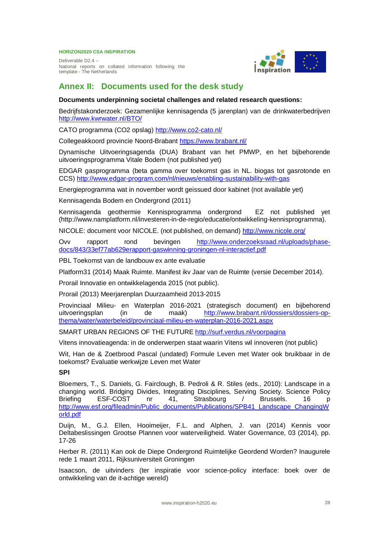Deliverable D2.4 – National reports on collated information following the template - The Netherlands



### **Annex II: Documents used for the desk study**

#### **Documents underpinning societal challenges and related research questions:**

Bedrijfstakonderzoek: Gezamenlijke kennisagenda (5 jarenplan) van de drinkwaterbedrijven http://www.kwrwater.nl/BTO/

CATO programma (CO2 opslag) http://www.co2-cato.nl/

Collegeakkoord provincie Noord-Brabant https://www.brabant.nl/

Dynamische Uitvoeringsagenda (DUA) Brabant van het PMWP, en het bijbehorende uitvoeringsprogramma Vitale Bodem (not published yet)

EDGAR gasprogramma (beta gamma over toekomst gas in NL. biogas tot gasrotonde en CCS) http://www.edgar-program.com/nl/nieuws/enabling-sustainability-with-gas

Energieprogramma wat in november wordt geissued door kabinet (not available yet)

Kennisagenda Bodem en Ondergrond (2011)

Kennisagenda geothermie Kennisprogramma ondergrond EZ not published yet (http://www.namplatform.nl/investeren-in-de-regio/educatie/ontwikkeling-kennisprogramma).

NICOLE: document voor NICOLE. (not published, on demand) http://www.nicole.org/

Ovv rapport rond bevingen http://www.onderzoeksraad.nl/uploads/phasedocs/843/33ef77ab629erapport-gaswinning-groningen-nl-interactief.pdf

PBL Toekomst van de landbouw ex ante evaluatie

Platform31 (2014) Maak Ruimte. Manifest ikv Jaar van de Ruimte (versie December 2014).

Prorail Innovatie en ontwikkelagenda 2015 (not public).

Prorail (2013) Meerjarenplan Duurzaamheid 2013-2015

Provinciaal Milieu- en Waterplan 2016-2021 (strategisch document) en bijbehorend uitvoeringsplan (in de maak) http://www.brabant.nl/dossiers/dossiers-opthema/water/waterbeleid/provinciaal-milieu-en-waterplan-2016-2021.aspx

SMART URBAN REGIONS OF THE FUTURE http://surf.verdus.nl/voorpagina

Vitens innovatieagenda: in de onderwerpen staat waarin Vitens wil innoveren (not public)

Wit, Han de & Zoetbrood Pascal (undated) Formule Leven met Water ook bruikbaar in de toekomst? Evaluatie werkwijze Leven met Water

#### **SPI**

Bloemers, T., S. Daniels, G. Fairclough, B. Pedroli & R. Stiles (eds., 2010): Landscape in a changing world. Bridging Divides, Integrating Disciplines, Serving Society. Science Policy Briefing ESF-COST nr 41, Strasbourg / Brussels. 16 p http://www.esf.org/fileadmin/Public\_documents/Publications/SPB41\_Landscape\_ChangingW orld.pdf

Duijn, M., G.J. Ellen, Hooimeijer, F.L. and Alphen, J. van (2014) Kennis voor Deltabeslissingen Grootse Plannen voor waterveiligheid. Water Governance, 03 (2014), pp. 17-26

Herber R. (2011) Kan ook de Diepe Ondergrond Ruimtelijke Geordend Worden? Inaugurele rede 1 maart 2011, Rijksuniversiteit Groningen

Isaacson, de uitvinders (ter inspiratie voor science-policy interface: boek over de ontwikkeling van de it-achtige wereld)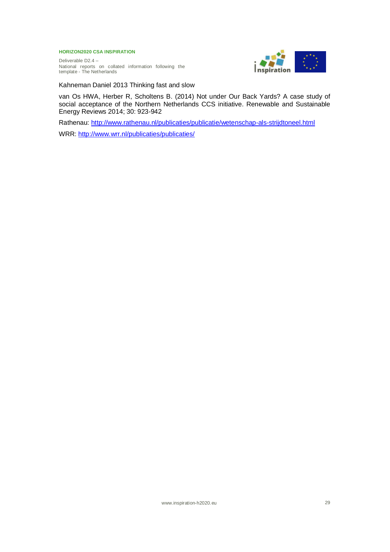Deliverable D2.4 – National reports on collated information following the template - The Netherlands



Kahneman Daniel 2013 Thinking fast and slow

van Os HWA, Herber R, Scholtens B. (2014) Not under Our Back Yards? A case study of social acceptance of the Northern Netherlands CCS initiative. Renewable and Sustainable Energy Reviews 2014; 30: 923-942

Rathenau: http://www.rathenau.nl/publicaties/publicatie/wetenschap-als-strijdtoneel.html

WRR: http://www.wrr.nl/publicaties/publicaties/